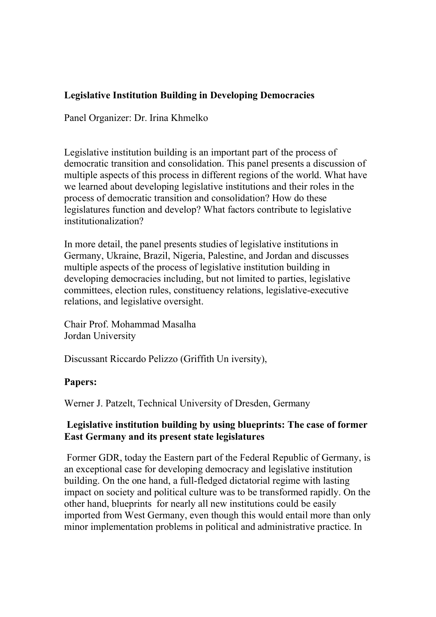## **Legislative Institution Building in Developing Democracies**

Panel Organizer: Dr. Irina Khmelko

Legislative institution building is an important part of the process of democratic transition and consolidation. This panel presents a discussion of multiple aspects of this process in different regions of the world. What have we learned about developing legislative institutions and their roles in the process of democratic transition and consolidation? How do these legislatures function and develop? What factors contribute to legislative institutionalization?

In more detail, the panel presents studies of legislative institutions in Germany, Ukraine, Brazil, Nigeria, Palestine, and Jordan and discusses multiple aspects of the process of legislative institution building in developing democracies including, but not limited to parties, legislative committees, election rules, constituency relations, legislative-executive relations, and legislative oversight.

Chair Prof. Mohammad Masalha Jordan University

Discussant Riccardo Pelizzo (Griffith Un iversity),

## **Papers:**

Werner J. Patzelt, Technical University of Dresden, Germany

## **Legislative institution building by using blueprints: The case of former East Germany and its present state legislatures**

Former GDR, today the Eastern part of the Federal Republic of Germany, is an exceptional case for developing democracy and legislative institution building. On the one hand, a full-fledged dictatorial regime with lasting impact on society and political culture was to be transformed rapidly. On the other hand, blueprints for nearly all new institutions could be easily imported from West Germany, even though this would entail more than only minor implementation problems in political and administrative practice. In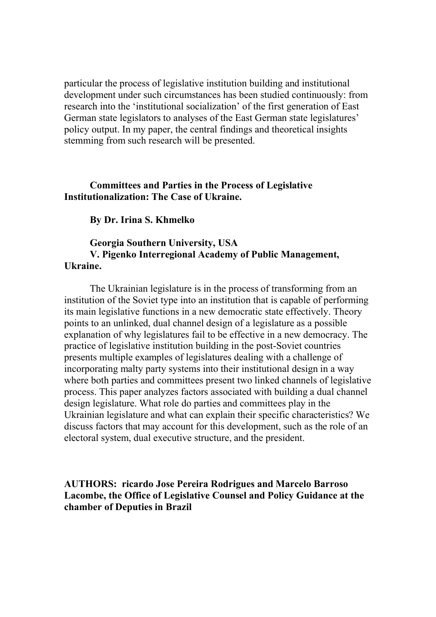particular the process of legislative institution building and institutional development under such circumstances has been studied continuously: from research into the 'institutional socialization' of the first generation of East German state legislators to analyses of the East German state legislatures' policy output. In my paper, the central findings and theoretical insights stemming from such research will be presented.

### **Committees and Parties in the Process of Legislative Institutionalization: The Case of Ukraine.**

**By Dr. Irina S. Khmelko**

### **Georgia Southern University, USA V. Pigenko Interregional Academy of Public Management, Ukraine.**

The Ukrainian legislature is in the process of transforming from an institution of the Soviet type into an institution that is capable of performing its main legislative functions in a new democratic state effectively. Theory points to an unlinked, dual channel design of a legislature as a possible explanation of why legislatures fail to be effective in a new democracy. The practice of legislative institution building in the post-Soviet countries presents multiple examples of legislatures dealing with a challenge of incorporating malty party systems into their institutional design in a way where both parties and committees present two linked channels of legislative process. This paper analyzes factors associated with building a dual channel design legislature. What role do parties and committees play in the Ukrainian legislature and what can explain their specific characteristics? We discuss factors that may account for this development, such as the role of an electoral system, dual executive structure, and the president.

### **AUTHORS: ricardo Jose Pereira Rodrigues and Marcelo Barroso Lacombe, the Office of Legislative Counsel and Policy Guidance at the chamber of Deputies in Brazil**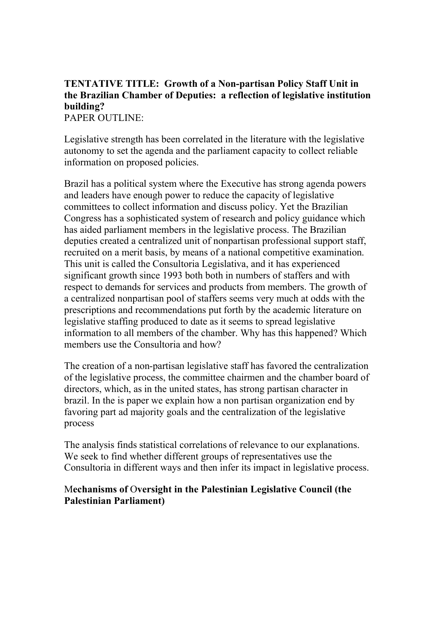# **TENTATIVE TITLE: Growth of a Non-partisan Policy Staff Unit in the Brazilian Chamber of Deputies: a reflection of legislative institution building?**

PAPER OUTLINE:

Legislative strength has been correlated in the literature with the legislative autonomy to set the agenda and the parliament capacity to collect reliable information on proposed policies.

Brazil has a political system where the Executive has strong agenda powers and leaders have enough power to reduce the capacity of legislative committees to collect information and discuss policy. Yet the Brazilian Congress has a sophisticated system of research and policy guidance which has aided parliament members in the legislative process. The Brazilian deputies created a centralized unit of nonpartisan professional support staff, recruited on a merit basis, by means of a national competitive examination. This unit is called the Consultoria Legislativa, and it has experienced significant growth since 1993 both both in numbers of staffers and with respect to demands for services and products from members. The growth of a centralized nonpartisan pool of staffers seems very much at odds with the prescriptions and recommendations put forth by the academic literature on legislative staffing produced to date as it seems to spread legislative information to all members of the chamber. Why has this happened? Which members use the Consultoria and how?

The creation of a non-partisan legislative staff has favored the centralization of the legislative process, the committee chairmen and the chamber board of directors, which, as in the united states, has strong partisan character in brazil. In the is paper we explain how a non partisan organization end by favoring part ad majority goals and the centralization of the legislative process

The analysis finds statistical correlations of relevance to our explanations. We seek to find whether different groups of representatives use the Consultoria in different ways and then infer its impact in legislative process.

# M**echanisms of** O**versight in the Palestinian Legislative Council (the Palestinian Parliament)**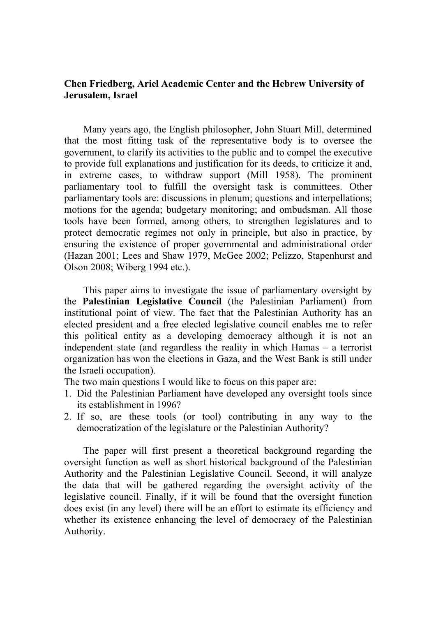### **Chen Friedberg, Ariel Academic Center and the Hebrew University of Jerusalem, Israel**

Many years ago, the English philosopher, John Stuart Mill, determined that the most fitting task of the representative body is to oversee the government, to clarify its activities to the public and to compel the executive to provide full explanations and justification for its deeds, to criticize it and, in extreme cases, to withdraw support (Mill 1958). The prominent parliamentary tool to fulfill the oversight task is committees. Other parliamentary tools are: discussions in plenum; questions and interpellations; motions for the agenda; budgetary monitoring; and ombudsman. All those tools have been formed, among others, to strengthen legislatures and to protect democratic regimes not only in principle, but also in practice, by ensuring the existence of proper governmental and administrational order (Hazan 2001; Lees and Shaw 1979, McGee 2002; Pelizzo, Stapenhurst and Olson 2008; Wiberg 1994 etc.).

This paper aims to investigate the issue of parliamentary oversight by the **Palestinian Legislative Council** (the Palestinian Parliament) from institutional point of view. The fact that the Palestinian Authority has an elected president and a free elected legislative council enables me to refer this political entity as a developing democracy although it is not an independent state (and regardless the reality in which Hamas – a terrorist organization has won the elections in Gaza, and the West Bank is still under the Israeli occupation).

The two main questions I would like to focus on this paper are:

- 1. Did the Palestinian Parliament have developed any oversight tools since its establishment in 1996?
- 2. If so, are these tools (or tool) contributing in any way to the democratization of the legislature or the Palestinian Authority?

The paper will first present a theoretical background regarding the oversight function as well as short historical background of the Palestinian Authority and the Palestinian Legislative Council. Second, it will analyze the data that will be gathered regarding the oversight activity of the legislative council. Finally, if it will be found that the oversight function does exist (in any level) there will be an effort to estimate its efficiency and whether its existence enhancing the level of democracy of the Palestinian Authority.